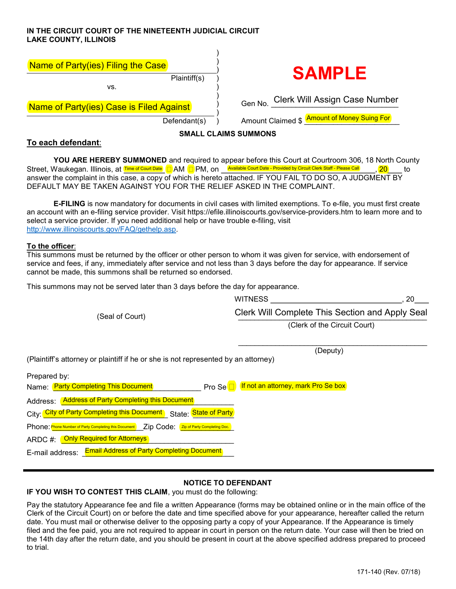## IN THE CIRCUIT COURT OF THE NINETEENTH JUDICIAL CIRCUIT LAKE COUNTY, ILLINOIS

| Name of Party(ies) Filing the Case       |                                             |
|------------------------------------------|---------------------------------------------|
| Plaintiff(s)                             | <b>SAMPLE</b>                               |
| VS.                                      |                                             |
| Name of Party(ies) Case is Filed Against | Gen No. Clerk Will Assign Case Number       |
| Defendant(s)                             | Amount Claimed \$ Amount of Money Suing For |
|                                          | <b>SMALL CLAIMS SUMMONS</b>                 |

## To each defendant:

YOU ARE HEREBY SUMMONED and required to appear before this Court at Courtroom 306, 18 North County Street, Waukegan. Illinois, at AM PM, on , 20 to answer the complaint in this case, a copy of which is hereto attached. IF YOU FAIL TO DO SO, A JUDGMENT BY DEFAULT MAY BE TAKEN AGAINST YOU FOR THE RELIEF ASKED IN THE COMPLAINT. Time of Court Date  $\Box$  AM  $\Box$  PM  $\Box$  On Available Court Date - Provided by Circuit Clerk Staff - Please Call

**E-FILING** is now mandatory for documents in civil cases with limited exemptions. To e-file, you must first create an account with an e-filing service provider. Visit https://efile.illinoiscourts.gov/service-providers.htm to learn more and to select a service provider. If you need additional help or have trouble e-filing, visit http://www.illinoiscourts.gov/FAQ/gethelp.asp.

#### To the officer:

This summons must be returned by the officer or other person to whom it was given for service, with endorsement of service and fees, if any, immediately after service and not less than 3 days before the day for appearance. If service cannot be made, this summons shall be returned so endorsed.

This summons may not be served later than 3 days before the day for appearance.

| (Seal of Court)                                                                                                                                     | <b>WITNESS</b><br>20                                   |  |
|-----------------------------------------------------------------------------------------------------------------------------------------------------|--------------------------------------------------------|--|
|                                                                                                                                                     | <b>Clerk Will Complete This Section and Apply Seal</b> |  |
|                                                                                                                                                     | (Clerk of the Circuit Court)                           |  |
| (Plaintiff's attorney or plaintiff if he or she is not represented by an attorney)                                                                  | (Deputy)                                               |  |
| Prepared by:<br>Name: Party Completing This Document<br>Pro Se <sup></sup>                                                                          | If not an attorney, mark Pro Se box                    |  |
| Address: Address of Party Completing this Document<br>City: <mark>City of Party Completing this Document)</mark> State: <mark>State of Party</mark> |                                                        |  |
| Phone: Phone Number of Party Completing this Document Zip Code: <sup>(Zip of Party Completing Doc.)</sup>                                           |                                                        |  |
| ARDC #: <mark>_Only Required for Attorneys </mark><br><b>Email Address of Party Completing Document</b><br>E-mail address:                          |                                                        |  |

# NOTICE TO DEFENDANT

IF YOU WISH TO CONTEST THIS CLAIM, you must do the following:

Pay the statutory Appearance fee and file a written Appearance (forms may be obtained online or in the main office of the Clerk of the Circuit Court) on or before the date and time specified above for your appearance, hereafter called the return date. You must mail or otherwise deliver to the opposing party a copy of your Appearance. If the Appearance is timely filed and the fee paid, you are not required to appear in court in person on the return date. Your case will then be tried on the 14th day after the return date, and you should be present in court at the above specified address prepared to proceed to trial.